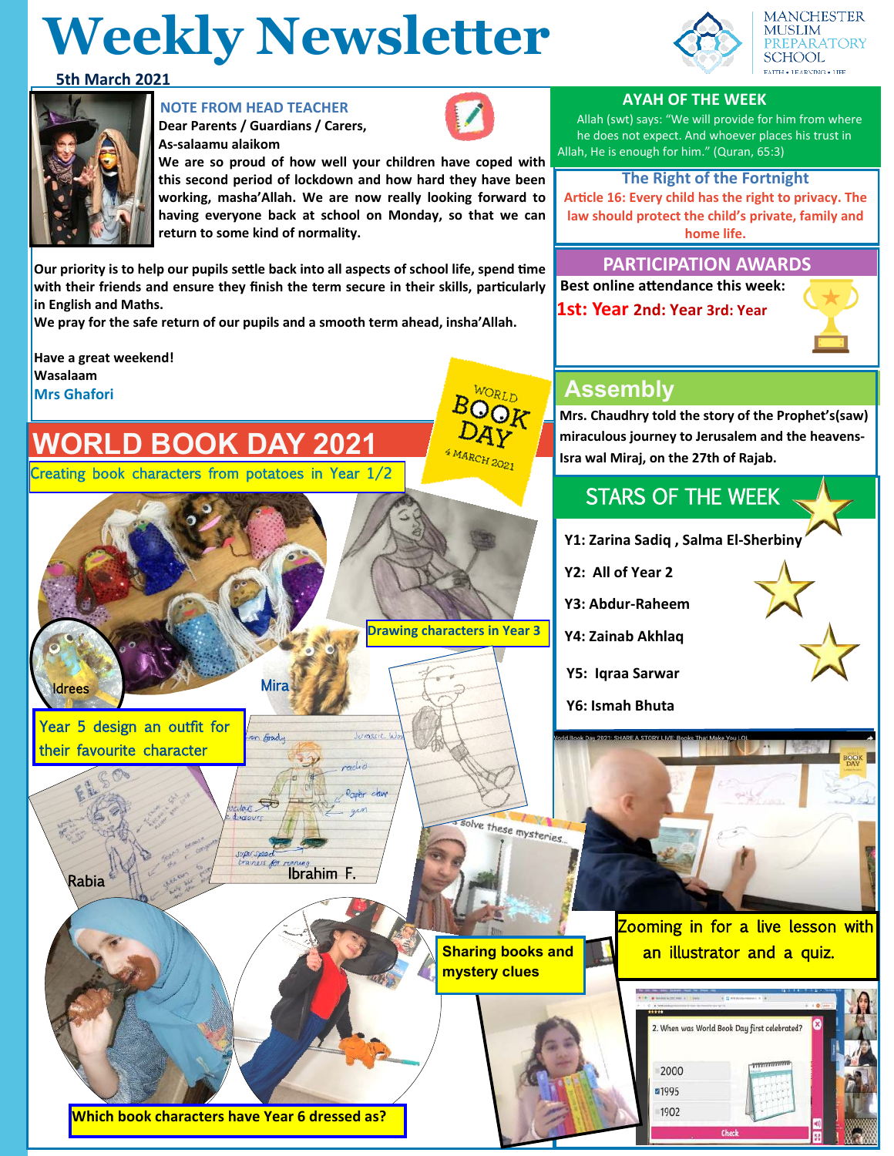# **Weekly Newsletter**





## **NOTE FROM HEAD TEACHER**

**Dear Parents / Guardians / Carers, As-salaamu alaikom**



**We are so proud of how well your children have coped with this second period of lockdown and how hard they have been working, masha'Allah. We are now really looking forward to having everyone back at school on Monday, so that we can return to some kind of normality.** 

**Our priority is to help our pupils settle back into all aspects of school life, spend time with their friends and ensure they finish the term secure in their skills, particularly in English and Maths.** 

 $\mathcal{L} = \mathcal{L}$ 

Jurascic W

ضلب

Raper claw

Ibrahim F.

**Mira** 

on Grady

das São

Juper Speer

**We pray for the safe return of our pupils and a smooth term ahead, insha'Allah.** 

**Have a great weekend! Wasalaam Mrs Ghafori Mrs** Ghafori **ASSEMDI** 

**Idrees** 

Rabia

Year 5 design an outfit for their favourite character

# **WORLD BOOK DAY 2021**

Creating book characters from potatoes in Year 1/2

**1st: Year 2nd: Year 3rd: Year** 

 **Best online attendance this week:** 

# **PARTICIPATION AWARDS**

**Mrs. Chaudhry told the story of the Prophet's(saw) miraculous journey to Jerusalem and the heavens-Isra wal Miraj, on the 27th of Rajab.**

## STARS OF THE WEEK

**Y1: Zarina Sadiq , Salma El-Sherbiny** 

**Y2: All of Year 2** 

**Y3: Abdur-Raheem** 

**Y4: Zainab Akhlaq**

**Y5: Iqraa Sarwar** 

**Y6: Ismah Bhuta** 



We these mysteries.

**Drawing characters in Year 3**

 $4 M A R C H_{2O2}$ 

Zooming in for a live lesson with **Sharing books and <b>All** an illustrator and a quiz.



**Which book characters have Year 6 dressed as?** 



**AYAH OF THE WEEK**

Allah, He is enough for him." (Quran, 65:3)

Allah (swt) says: "We will provide for him from where he does not expect. And whoever places his trust in

**The Right of the Fortnight Article 16: Every child has the right to privacy. The law should protect the child's private, family and home life.**